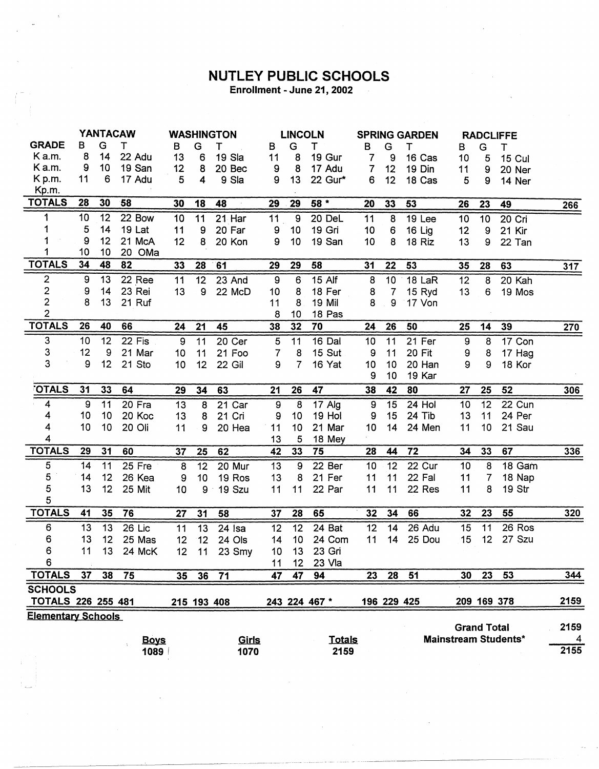## **NUTLEY PUBLIC SCHOOLS**

Enrollment - June 21, 2002

|                           | <b>YANTACAW</b> |    |             | <b>WASHINGTON</b> |                 | <b>LINCOLN</b> |                  |                 | <b>SPRING GARDEN</b> |                  |                  | <b>RADCLIFFE</b> |                    |    |                             |                  |
|---------------------------|-----------------|----|-------------|-------------------|-----------------|----------------|------------------|-----------------|----------------------|------------------|------------------|------------------|--------------------|----|-----------------------------|------------------|
| <b>GRADE</b>              | в               | G  | т           | в                 | G               | Т              | в                | G               | т                    | в                | G                | т                | в                  | G  | т                           |                  |
| K a.m.                    | 8               | 14 | 22 Adu      | 13                | 6               | 19 Sla         | 11               | 8               | 19 Gur               | 7                | 9                | 16 Cas           | 10                 | 5  | <b>15 Cul</b>               |                  |
| Ka.m.                     | 9               | 10 | 19 San      | 12                | 8               | 20 Bec         | 9                | 8               | 17 Adu               | 7                | 12               | 19 Din           | 11                 | 9  | 20 Ner                      |                  |
| Kp.m.                     | 11              | 6  | 17 Adu      | 5                 | 4               | 9 Sla          | 9                | 13              | 22 Gur*              | 6                | 12               | 18 Cas           | 5                  | 9  | 14 Ner                      |                  |
| Kp.m.                     |                 |    |             |                   |                 |                |                  |                 |                      |                  |                  |                  |                    |    |                             |                  |
| <b>TOTALS</b>             | 28              | 30 | 58          | 30                | 18              | 48             | 29               | 29              | 58 *                 | 20               | 33               | 53               | 26                 | 23 | 49                          | 266              |
| 1                         | 10              | 12 | 22 Bow      | 10 <sup>1</sup>   | 11              | 21 Har         | 11               | $\overline{9}$  | 20 DeL               | 11               | 8                | 19 Lee           | 10                 | 10 | 20 Cri                      |                  |
| 1                         | 5               | 14 | 19 Lat      | 11                | 9               | 20 Far         | $\boldsymbol{9}$ | 10              | 19 Gri               | 10               | $\boldsymbol{6}$ | 16 Lig           | 12                 | 9  | 21 Kir                      |                  |
|                           | 9               | 12 | 21 McA      | 12                | 8               | 20 Kon         | 9                | 10              | 19 San               | 10               | 8                | 18 Riz           | 13                 | 9  | 22 Tan                      |                  |
|                           | 10              | 10 | 20 OMa      |                   |                 |                |                  |                 |                      |                  |                  |                  |                    |    |                             |                  |
| <b>TOTALS</b>             | 34              | 48 | 82          | 33                | 28              | 61             | 29               | 29              | 58                   | 31               | 22               | 53               | 35                 | 28 | 63                          | 317              |
| 2                         | 9               | 13 | 22 Ree      | 11                | $\overline{12}$ | 23 And         | $\overline{9}$   | 6               | $15$ Alf             | 8                | 10               | 18 LaR           | 12                 | 8  | 20 Kah                      |                  |
| $\frac{2}{2}$             | 9               | 14 | 23 Rei      | 13                | 9               | 22 McD         | 10               | 8               | 18 Fer               | 8                | $\overline{7}$   | 15 Ryd           | 13                 | 6  | 19 Mos                      |                  |
|                           | 8               | 13 | 21 Ruf      |                   |                 |                | 11               | 8               | 19 Mil               | 8                | 9                | 17 Von           |                    |    |                             |                  |
| $\overline{2}$            |                 |    |             |                   |                 |                | 8                | 10              | 18 Pas               |                  |                  |                  |                    |    |                             |                  |
| <b>TOTALS</b>             | 26              | 40 | 66          | 24                | 21              | 45             | 38               | 32              | 70                   | 24               | 26               | 50               | 25                 | 14 | 39                          | $\overline{270}$ |
| 3                         | 10              | 12 | 22 Fis      | $\boldsymbol{9}$  | 11              | 20 Cer         | $\sqrt{5}$       | 11              | 16 Dal               | 10               | 11               | 21 Fer           | $\boldsymbol{9}$   | 8  | 17 Con                      |                  |
| 3                         | 12              | 9  | 21 Mar      | 10                | 11              | 21 Foo         | 7                | 8               | 15 Sut               | 9                | 11               | 20 Fit           | 9                  | 8  | 17 Hag                      |                  |
| 3                         | 9               | 12 | 21 Sto      | 10                | 12 <sub>2</sub> | 22 Gil         | 9                | $\overline{7}$  | 16 Yat               | 10               | 10               | 20 Han           | 9                  | 9  | 18 Kor                      |                  |
|                           |                 |    |             |                   |                 |                |                  |                 |                      | 9                | 10               | 19 Kar           |                    |    |                             |                  |
| <b>OTALS</b>              | 31              | 33 | 64          | 29                | 34              | 63             | 21               | 26              | 47                   | 38               | 42               | 80               | 27                 | 25 | 52                          | 306              |
| $\boldsymbol{4}$          | 9               | 11 | 20 Fra      | 13                | 8               | 21 Car         | 9                | 8               | $17$ Alg             | $\boldsymbol{9}$ | 15               | 24 Hol           | 10                 | 12 | 22 Cun                      |                  |
| 4                         | 10              | 10 | 20 Koc      | 13                | 8               | 21 Cri         | 9                | 10              | 19 Hol               | 9                | 15               | 24 Tib           | 13                 | 11 | 24 Per                      |                  |
| 4                         | 10              | 10 | 20 Oli      | 11                | 9               | 20 Hea         | 11               | 10              | 21 Mar               | 10               | 14               | 24 Men           | 11                 | 10 | 21 Sau                      |                  |
| 4                         |                 |    |             |                   |                 |                | 13               | 5               | 18 Mey               |                  |                  |                  |                    |    |                             |                  |
| <b>TOTALS</b>             | 29              | 31 | 60          | 37                | 25              | 62             | 42               | 33              | 75                   | 28               | 44               | 72               | 34                 | 33 | 67                          | 336              |
| 5                         | 14              | 11 | 25 Fre      | 8                 | 12              | 20 Mur         | 13               | 9               | 22 Ber               | 10               | 12               | 22 Cur           | 10                 | 8  | 18 Gam                      |                  |
| 5                         | 14              | 12 | 26 Kea      | 9                 | 10              | 19 Ros         | 13               | 8               | 21 Fer               | 11               | 11               | 22 Fal           | 11                 | 7  | 18 Nap                      |                  |
| 5                         | 13              | 12 | 25 Mit      | 10                | 9               | 19 Szu         | 11               | 11              | 22 Par               | 11               | 11               | 22 Res           | 11                 | 8  | 19 Str                      |                  |
| 5                         |                 |    |             |                   |                 |                |                  |                 |                      |                  |                  |                  |                    |    |                             |                  |
| <b>TOTALS</b>             | 41              | 35 | 76          | 27                | 31              | 58             | 37               | 28              | 65                   | 32               | 34               | 66               | 32                 | 23 | 55                          | $\frac{320}{2}$  |
| 6                         | 13              | 13 | $26$ Lic    | 11                | $\overline{13}$ | $24$ Isa       | 12               | $\overline{12}$ | 24 Bat               | 12               | 14               | 26 Adu           | 15                 | 11 | 26 Ros                      |                  |
| 6                         | 13              | 12 | 25 Mas      | 12                | 12              | 24 Ols         | 14               | 10              | 24 Com               | 11               | 14               | 25 Dou           | 15                 | 12 | 27 Szu                      |                  |
| 6                         | 11              | 13 | 24 McK      | 12                | 11              | 23 Smy         | 10               | 13              | 23 Gri               |                  |                  |                  |                    |    |                             |                  |
| 6                         |                 |    |             |                   |                 |                | 11               | 12 <sub>2</sub> | 23 Vla               |                  |                  |                  |                    |    |                             |                  |
| <b>TOTALS</b>             | 37              | 38 | 75          | 35 <sub>5</sub>   | 36              | 71             | 47               | 47              | 94                   | 23               | 28               | 51               | 30                 | 23 | 53                          | 344              |
| <b>SCHOOLS</b>            |                 |    |             |                   |                 |                |                  |                 |                      |                  |                  |                  |                    |    |                             |                  |
| TOTALS 226 255 481        |                 |    |             |                   |                 | 215 193 408    |                  |                 | 243 224 467 *        |                  | 196 229 425      |                  |                    |    | 209 169 378                 | 2159             |
| <b>Elementary Schools</b> |                 |    |             |                   |                 |                |                  |                 |                      |                  |                  |                  |                    |    |                             |                  |
|                           |                 |    |             |                   |                 |                |                  |                 |                      |                  |                  |                  | <b>Grand Total</b> |    |                             | 2159             |
|                           |                 |    | <b>Boys</b> |                   |                 | Girls          |                  |                 | <b>Totals</b>        |                  |                  |                  |                    |    | <b>Mainstream Students*</b> | 4                |
|                           |                 |    | 1089        |                   |                 | 1070           |                  |                 | 2159                 |                  |                  |                  |                    |    |                             | 2155             |